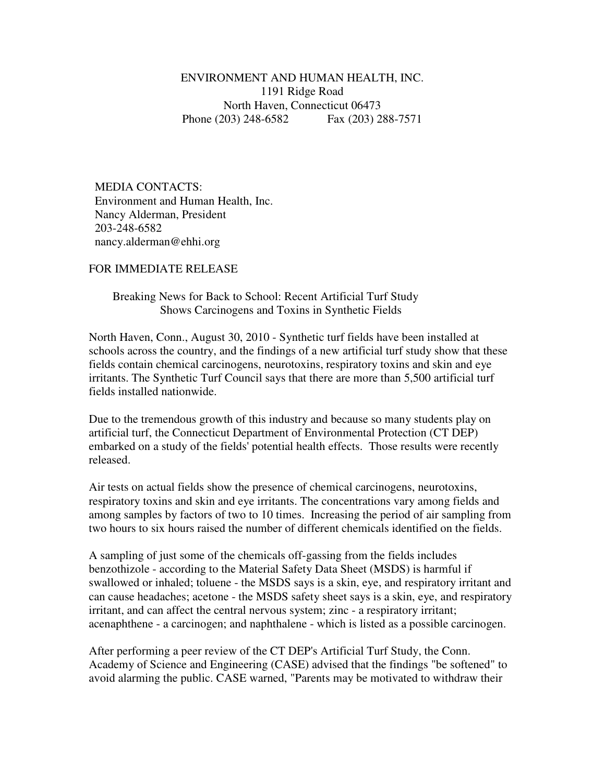ENVIRONMENT AND HUMAN HEALTH, INC. 1191 Ridge Road North Haven, Connecticut 06473 Phone (203) 248-6582 Fax (203) 288-7571

 MEDIA CONTACTS: Environment and Human Health, Inc. Nancy Alderman, President 203-248-6582 nancy.alderman@ehhi.org

## FOR IMMEDIATE RELEASE

## Breaking News for Back to School: Recent Artificial Turf Study Shows Carcinogens and Toxins in Synthetic Fields

North Haven, Conn., August 30, 2010 - Synthetic turf fields have been installed at schools across the country, and the findings of a new artificial turf study show that these fields contain chemical carcinogens, neurotoxins, respiratory toxins and skin and eye irritants. The Synthetic Turf Council says that there are more than 5,500 artificial turf fields installed nationwide.

Due to the tremendous growth of this industry and because so many students play on artificial turf, the Connecticut Department of Environmental Protection (CT DEP) embarked on a study of the fields' potential health effects. Those results were recently released.

Air tests on actual fields show the presence of chemical carcinogens, neurotoxins, respiratory toxins and skin and eye irritants. The concentrations vary among fields and among samples by factors of two to 10 times. Increasing the period of air sampling from two hours to six hours raised the number of different chemicals identified on the fields.

A sampling of just some of the chemicals off-gassing from the fields includes benzothizole - according to the Material Safety Data Sheet (MSDS) is harmful if swallowed or inhaled; toluene - the MSDS says is a skin, eye, and respiratory irritant and can cause headaches; acetone - the MSDS safety sheet says is a skin, eye, and respiratory irritant, and can affect the central nervous system; zinc - a respiratory irritant; acenaphthene - a carcinogen; and naphthalene - which is listed as a possible carcinogen.

After performing a peer review of the CT DEP's Artificial Turf Study, the Conn. Academy of Science and Engineering (CASE) advised that the findings "be softened" to avoid alarming the public. CASE warned, "Parents may be motivated to withdraw their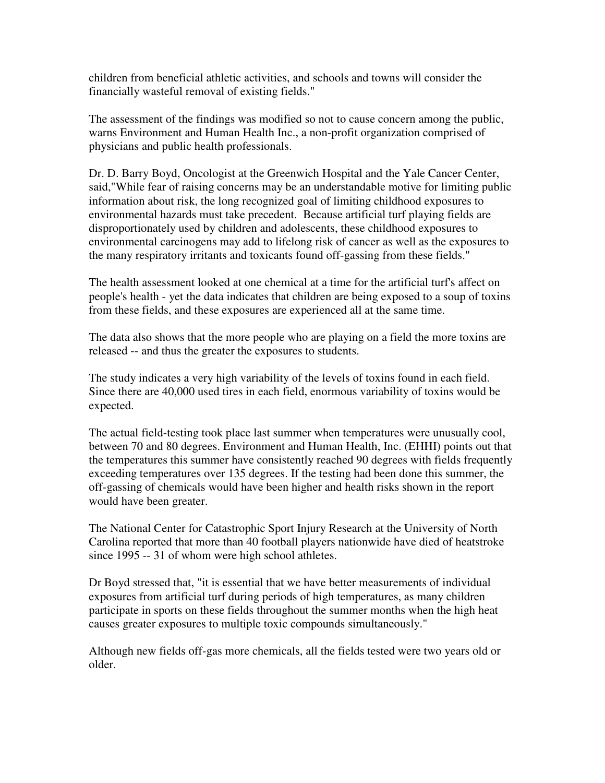children from beneficial athletic activities, and schools and towns will consider the financially wasteful removal of existing fields."

The assessment of the findings was modified so not to cause concern among the public, warns Environment and Human Health Inc., a non-profit organization comprised of physicians and public health professionals.

Dr. D. Barry Boyd, Oncologist at the Greenwich Hospital and the Yale Cancer Center, said,"While fear of raising concerns may be an understandable motive for limiting public information about risk, the long recognized goal of limiting childhood exposures to environmental hazards must take precedent. Because artificial turf playing fields are disproportionately used by children and adolescents, these childhood exposures to environmental carcinogens may add to lifelong risk of cancer as well as the exposures to the many respiratory irritants and toxicants found off-gassing from these fields."

The health assessment looked at one chemical at a time for the artificial turf's affect on people's health - yet the data indicates that children are being exposed to a soup of toxins from these fields, and these exposures are experienced all at the same time.

The data also shows that the more people who are playing on a field the more toxins are released -- and thus the greater the exposures to students.

The study indicates a very high variability of the levels of toxins found in each field. Since there are 40,000 used tires in each field, enormous variability of toxins would be expected.

The actual field-testing took place last summer when temperatures were unusually cool, between 70 and 80 degrees. Environment and Human Health, Inc. (EHHI) points out that the temperatures this summer have consistently reached 90 degrees with fields frequently exceeding temperatures over 135 degrees. If the testing had been done this summer, the off-gassing of chemicals would have been higher and health risks shown in the report would have been greater.

The National Center for Catastrophic Sport Injury Research at the University of North Carolina reported that more than 40 football players nationwide have died of heatstroke since 1995 -- 31 of whom were high school athletes.

Dr Boyd stressed that, "it is essential that we have better measurements of individual exposures from artificial turf during periods of high temperatures, as many children participate in sports on these fields throughout the summer months when the high heat causes greater exposures to multiple toxic compounds simultaneously."

Although new fields off-gas more chemicals, all the fields tested were two years old or older.